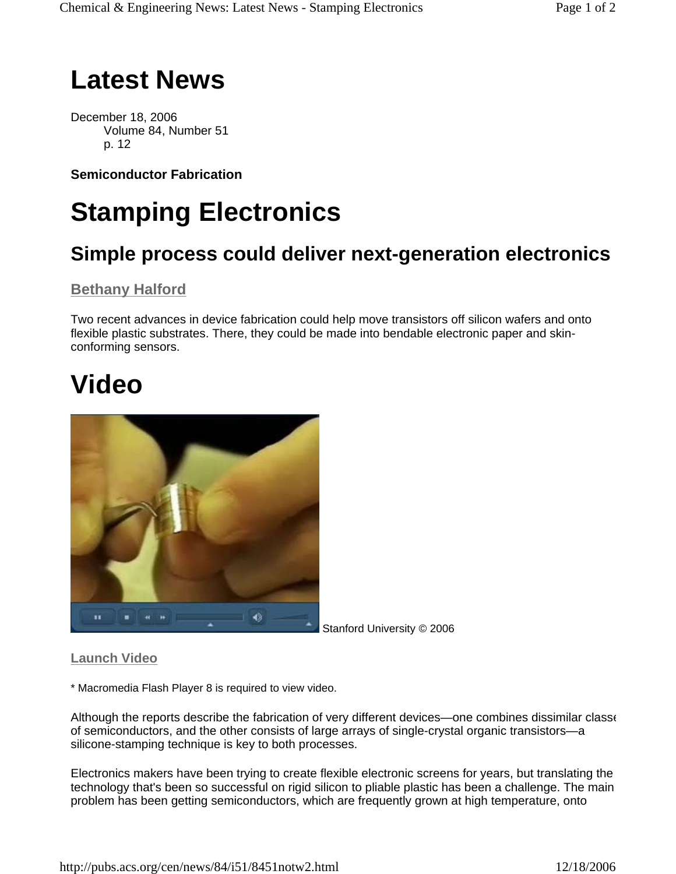### **Latest News**

December 18, 2006 Volume 84, Number 51 p. 12

**Semiconductor Fabrication** 

# **Stamping Electronics**

### **Simple process could deliver next-generation electronics**

#### **Bethany Halford**

Two recent advances in device fabrication could help move transistors off silicon wafers and onto flexible plastic substrates. There, they could be made into bendable electronic paper and skinconforming sensors.

## **Video**



Stanford University © 2006

**Launch Video**

\* Macromedia Flash Player 8 is required to view video.

Although the reports describe the fabrication of very different devices—one combines dissimilar classe of semiconductors, and the other consists of large arrays of single-crystal organic transistors—a silicone-stamping technique is key to both processes.

Electronics makers have been trying to create flexible electronic screens for years, but translating the technology that's been so successful on rigid silicon to pliable plastic has been a challenge. The main problem has been getting semiconductors, which are frequently grown at high temperature, onto